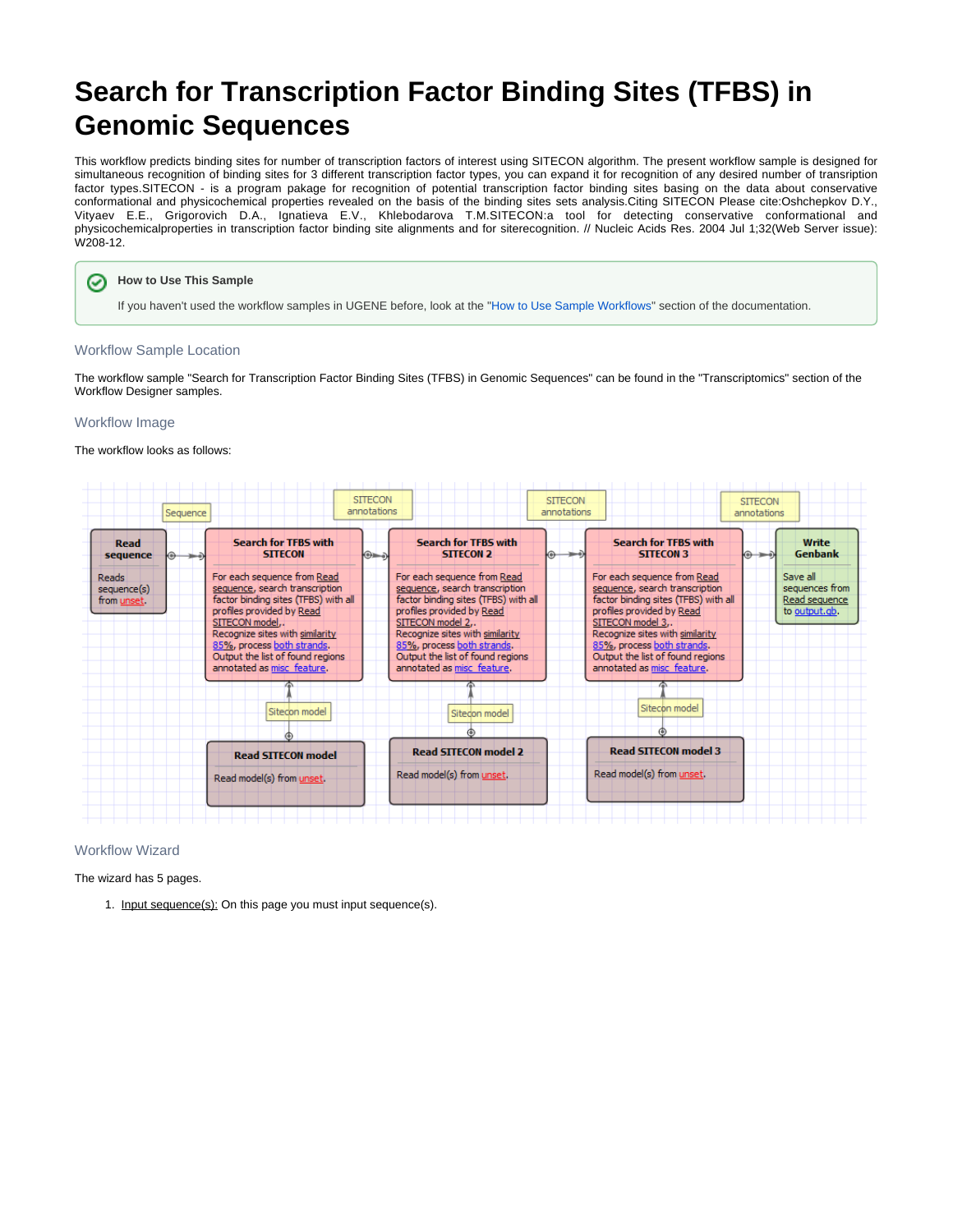# **Search for Transcription Factor Binding Sites (TFBS) in Genomic Sequences**

This workflow predicts binding sites for number of transcription factors of interest using SITECON algorithm. The present workflow sample is designed for simultaneous recognition of binding sites for 3 different transcription factor types, you can expand it for recognition of any desired number of transription factor types.SITECON - is a program pakage for recognition of potential transcription factor binding sites basing on the data about conservative conformational and physicochemical properties revealed on the basis of the binding sites sets analysis.Citing SITECON Please cite:Oshchepkov D.Y., Vityaev E.E., Grigorovich D.A., Ignatieva E.V., Khlebodarova T.M.SITECON:a tool for detecting conservative conformational and physicochemicalproperties in transcription factor binding site alignments and for siterecognition. // Nucleic Acids Res. 2004 Jul 1;32(Web Server issue): W208-12.

#### **How to Use This Sample** の

If you haven't used the workflow samples in UGENE before, look at the "[How to Use Sample Workflows"](https://doc.ugene.net/wiki/display/UM/How+to+Use+Sample+Workflows) section of the documentation.

### Workflow Sample Location

The workflow sample "Search for Transcription Factor Binding Sites (TFBS) in Genomic Sequences" can be found in the "Transcriptomics" section of the Workflow Designer samples.

#### Workflow Image

The workflow looks as follows:



#### Workflow Wizard

The wizard has 5 pages.

1. Input sequence(s): On this page you must input sequence(s).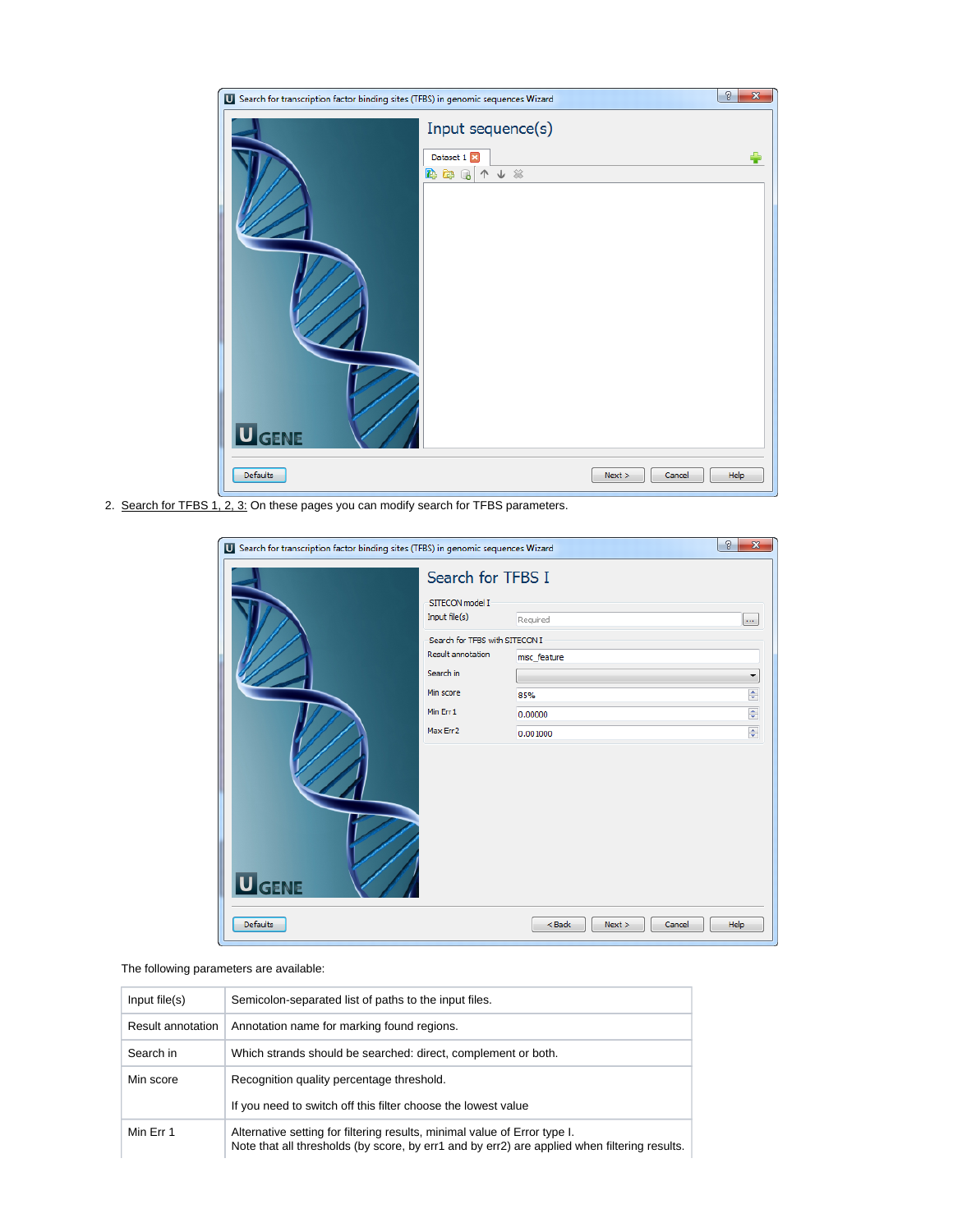| Search for transcription factor binding sites (TFBS) in genomic sequences Wizard |                                                                                     |      |
|----------------------------------------------------------------------------------|-------------------------------------------------------------------------------------|------|
| <b>U</b> GENE                                                                    | Input sequence(s)<br>Dataset 1<br>↑↓ ※<br>$\rightarrow$ $\rightarrow$ $\rightarrow$ |      |
| Defaults                                                                         | Next<br>Cancel                                                                      | Help |

2. Search for TFBS 1, 2, 3: On these pages you can modify search for TFBS parameters.

| Search for transcription factor binding sites (TFBS) in genomic sequences Wizard |                                                                  |                              | g<br>$\mathbf{x}$  |
|----------------------------------------------------------------------------------|------------------------------------------------------------------|------------------------------|--------------------|
| <b>U</b> GENE                                                                    | Search for TFBS I<br>SITECON model I<br>Input file(s)            | Required                     | $\cdots$           |
|                                                                                  | Search for TFBS with SITECON I<br>Result annotation<br>Search in | misc_feature                 | ▼                  |
|                                                                                  | Min score                                                        | 85%                          | ÷                  |
|                                                                                  | Min Err1<br>Max Err2                                             | 0.00000                      | $\div$             |
|                                                                                  |                                                                  | 0.001000                     | $\frac{\Delta}{T}$ |
| <b>Defaults</b>                                                                  |                                                                  | $<$ Back<br>Next ><br>Cancel | Help               |

## The following parameters are available:

| Input file(s)     | Semicolon-separated list of paths to the input files.                                                                                                                     |  |  |
|-------------------|---------------------------------------------------------------------------------------------------------------------------------------------------------------------------|--|--|
| Result annotation | Annotation name for marking found regions.                                                                                                                                |  |  |
| Search in         | Which strands should be searched: direct, complement or both.                                                                                                             |  |  |
| Min score         | Recognition quality percentage threshold.                                                                                                                                 |  |  |
|                   | If you need to switch off this filter choose the lowest value                                                                                                             |  |  |
| Min Err 1         | Alternative setting for filtering results, minimal value of Error type I.<br>Note that all thresholds (by score, by err1 and by err2) are applied when filtering results. |  |  |